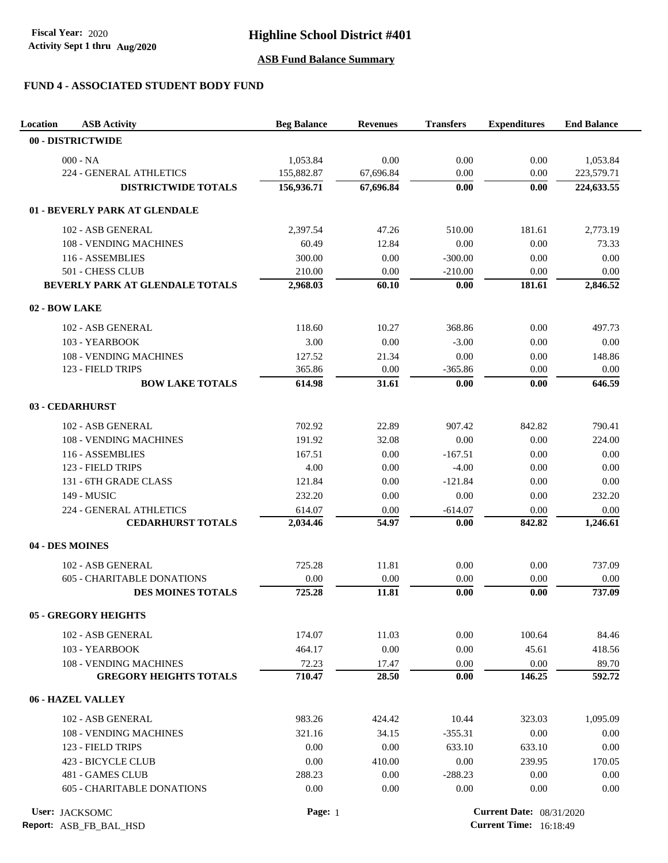# **Highline School District #401**

## **ASB Fund Balance Summary**

## **FUND 4 - ASSOCIATED STUDENT BODY FUND**

| Location<br><b>ASB Activity</b>   | <b>Beg Balance</b> | <b>Revenues</b> | <b>Transfers</b>                | <b>Expenditures</b> | <b>End Balance</b> |
|-----------------------------------|--------------------|-----------------|---------------------------------|---------------------|--------------------|
| 00 - DISTRICTWIDE                 |                    |                 |                                 |                     |                    |
| $000 - NA$                        | 1,053.84           | 0.00            | 0.00                            | 0.00                | 1,053.84           |
| 224 - GENERAL ATHLETICS           | 155,882.87         | 67,696.84       | 0.00                            | 0.00                | 223,579.71         |
| <b>DISTRICTWIDE TOTALS</b>        | 156,936.71         | 67,696.84       | 0.00                            | 0.00                | 224,633.55         |
|                                   |                    |                 |                                 |                     |                    |
| 01 - BEVERLY PARK AT GLENDALE     |                    |                 |                                 |                     |                    |
| 102 - ASB GENERAL                 | 2,397.54           | 47.26           | 510.00                          | 181.61              | 2,773.19           |
| 108 - VENDING MACHINES            | 60.49              | 12.84           | 0.00                            | 0.00                | 73.33              |
| 116 - ASSEMBLIES                  | 300.00             | 0.00            | $-300.00$                       | 0.00                | 0.00               |
| 501 - CHESS CLUB                  | 210.00             | 0.00            | $-210.00$                       | 0.00                | 0.00               |
| BEVERLY PARK AT GLENDALE TOTALS   | 2,968.03           | 60.10           | 0.00                            | 181.61              | 2,846.52           |
| 02 - BOW LAKE                     |                    |                 |                                 |                     |                    |
| 102 - ASB GENERAL                 | 118.60             | 10.27           | 368.86                          | 0.00                | 497.73             |
| 103 - YEARBOOK                    | 3.00               | 0.00            | $-3.00$                         | 0.00                | 0.00               |
| 108 - VENDING MACHINES            | 127.52             | 21.34           | 0.00                            | 0.00                | 148.86             |
| 123 - FIELD TRIPS                 | 365.86             | 0.00            | $-365.86$                       | 0.00                | 0.00               |
| <b>BOW LAKE TOTALS</b>            | 614.98             | 31.61           | 0.00                            | 0.00                | 646.59             |
| 03 - CEDARHURST                   |                    |                 |                                 |                     |                    |
| 102 - ASB GENERAL                 | 702.92             | 22.89           | 907.42                          | 842.82              | 790.41             |
| 108 - VENDING MACHINES            | 191.92             | 32.08           | 0.00                            | 0.00                | 224.00             |
| 116 - ASSEMBLIES                  | 167.51             | 0.00            | $-167.51$                       | 0.00                | 0.00               |
| 123 - FIELD TRIPS                 | 4.00               | 0.00            | $-4.00$                         | 0.00                | 0.00               |
| 131 - 6TH GRADE CLASS             | 121.84             | 0.00            | $-121.84$                       | 0.00                | 0.00               |
| 149 - MUSIC                       | 232.20             | 0.00            | 0.00                            | 0.00                | 232.20             |
| 224 - GENERAL ATHLETICS           | 614.07             | 0.00            | $-614.07$                       | 0.00                | 0.00               |
| <b>CEDARHURST TOTALS</b>          | 2,034.46           | 54.97           | 0.00                            | 842.82              | 1,246.61           |
| 04 - DES MOINES                   |                    |                 |                                 |                     |                    |
| 102 - ASB GENERAL                 | 725.28             | 11.81           | 0.00                            | 0.00                | 737.09             |
| <b>605 - CHARITABLE DONATIONS</b> | 0.00               | 0.00            | 0.00                            | 0.00                | 0.00               |
| <b>DES MOINES TOTALS</b>          | 725.28             | 11.81           | 0.00                            | 0.00                | 737.09             |
| <b>05 - GREGORY HEIGHTS</b>       |                    |                 |                                 |                     |                    |
| 102 - ASB GENERAL                 | 174.07             | 11.03           | 0.00                            | 100.64              | 84.46              |
| 103 - YEARBOOK                    | 464.17             | 0.00            | 0.00                            | 45.61               | 418.56             |
| 108 - VENDING MACHINES            |                    |                 |                                 |                     | 89.70              |
| <b>GREGORY HEIGHTS TOTALS</b>     | 72.23<br>710.47    | 17.47<br>28.50  | 0.00<br>0.00                    | 0.00<br>146.25      | 592.72             |
| 06 - HAZEL VALLEY                 |                    |                 |                                 |                     |                    |
|                                   |                    |                 |                                 |                     |                    |
| 102 - ASB GENERAL                 | 983.26             | 424.42          | 10.44                           | 323.03              | 1,095.09           |
| 108 - VENDING MACHINES            | 321.16             | 34.15           | $-355.31$                       | 0.00                | 0.00               |
| 123 - FIELD TRIPS                 | 0.00               | 0.00            | 633.10                          | 633.10              | 0.00               |
| 423 - BICYCLE CLUB                | 0.00               | 410.00          | 0.00                            | 239.95              | 170.05             |
| 481 - GAMES CLUB                  | 288.23             | 0.00            | $-288.23$                       | 0.00                | 0.00               |
| <b>605 - CHARITABLE DONATIONS</b> | 0.00               | 0.00            | 0.00                            | 0.00                | 0.00               |
| User: JACKSOMC                    | Page: 1            |                 | <b>Current Date: 08/31/2020</b> |                     |                    |

**Report:** ASB\_FB\_BAL\_HSD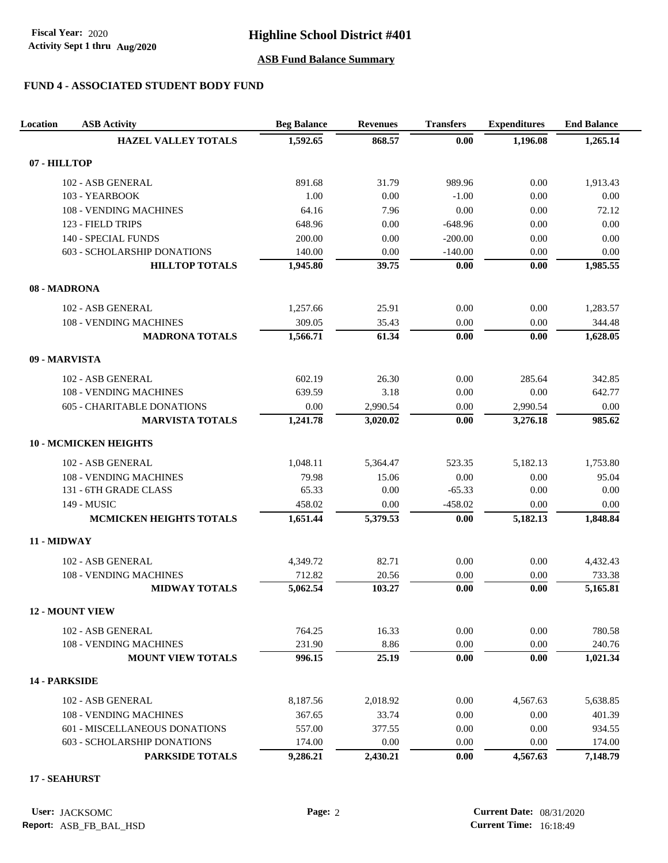Activity Sept 1 thru Aug/2020 **Fiscal Year:** 2020

# **Highline School District #401**

## **ASB Fund Balance Summary**

## **FUND 4 - ASSOCIATED STUDENT BODY FUND**

| <b>Location</b> | <b>ASB Activity</b>                | <b>Beg Balance</b> | <b>Revenues</b> | <b>Transfers</b> | <b>Expenditures</b> | <b>End Balance</b> |
|-----------------|------------------------------------|--------------------|-----------------|------------------|---------------------|--------------------|
|                 | <b>HAZEL VALLEY TOTALS</b>         | 1,592.65           | 868.57          | 0.00             | 1,196.08            | 1,265.14           |
| 07 - HILLTOP    |                                    |                    |                 |                  |                     |                    |
|                 | 102 - ASB GENERAL                  | 891.68             | 31.79           | 989.96           | 0.00                | 1,913.43           |
|                 | 103 - YEARBOOK                     | 1.00               | 0.00            | $-1.00$          | 0.00                | 0.00               |
|                 | 108 - VENDING MACHINES             | 64.16              | 7.96            | 0.00             | 0.00                | 72.12              |
|                 | 123 - FIELD TRIPS                  | 648.96             | 0.00            | $-648.96$        | 0.00                | 0.00               |
|                 | 140 - SPECIAL FUNDS                | 200.00             | 0.00            | $-200.00$        | 0.00                | 0.00               |
|                 | 603 - SCHOLARSHIP DONATIONS        | 140.00             | 0.00            | $-140.00$        | 0.00                | 0.00               |
|                 | <b>HILLTOP TOTALS</b>              | 1,945.80           | 39.75           | 0.00             | 0.00                | 1,985.55           |
| 08 - MADRONA    |                                    |                    |                 |                  |                     |                    |
|                 | 102 - ASB GENERAL                  | 1,257.66           | 25.91           | 0.00             | 0.00                | 1,283.57           |
|                 | 108 - VENDING MACHINES             | 309.05             | 35.43           | 0.00             | 0.00                | 344.48             |
|                 | <b>MADRONA TOTALS</b>              | 1,566.71           | 61.34           | 0.00             | 0.00                | 1,628.05           |
| 09 - MARVISTA   |                                    |                    |                 |                  |                     |                    |
|                 | 102 - ASB GENERAL                  | 602.19             | 26.30           | 0.00             | 285.64              | 342.85             |
|                 | 108 - VENDING MACHINES             | 639.59             | 3.18            | 0.00             | 0.00                | 642.77             |
|                 | <b>605 - CHARITABLE DONATIONS</b>  | 0.00               | 2,990.54        | 0.00             | 2,990.54            | 0.00               |
|                 | <b>MARVISTA TOTALS</b>             | 1,241.78           | 3,020.02        | 0.00             | 3,276.18            | 985.62             |
|                 | <b>10 - MCMICKEN HEIGHTS</b>       |                    |                 |                  |                     |                    |
|                 | 102 - ASB GENERAL                  | 1,048.11           | 5,364.47        | 523.35           | 5,182.13            | 1,753.80           |
|                 | 108 - VENDING MACHINES             | 79.98              | 15.06           | 0.00             | 0.00                | 95.04              |
|                 | 131 - 6TH GRADE CLASS              | 65.33              | 0.00            | $-65.33$         | 0.00                | 0.00               |
|                 | 149 - MUSIC                        | 458.02             | 0.00            | $-458.02$        | 0.00                | 0.00               |
|                 | <b>MCMICKEN HEIGHTS TOTALS</b>     | 1,651.44           | 5,379.53        | 0.00             | 5,182.13            | 1,848.84           |
| 11 - MIDWAY     |                                    |                    |                 |                  |                     |                    |
|                 | 102 - ASB GENERAL                  | 4,349.72           | 82.71           | 0.00             | 0.00                | 4,432.43           |
|                 | 108 - VENDING MACHINES             | 712.82             | 20.56           | 0.00             | 0.00                | 733.38             |
|                 | <b>MIDWAY TOTALS</b>               | 5,062.54           | 103.27          | 0.00             | 0.00                | 5,165.81           |
|                 | <b>12 - MOUNT VIEW</b>             |                    |                 |                  |                     |                    |
|                 | 102 - ASB GENERAL                  | 764.25             | 16.33           | 0.00             | 0.00                | 780.58             |
|                 | <b>108 - VENDING MACHINES</b>      | 231.90             | 8.86            | 0.00             | 0.00                | 240.76             |
|                 | <b>MOUNT VIEW TOTALS</b>           | 996.15             | 25.19           | 0.00             | 0.00                | 1,021.34           |
| 14 - PARKSIDE   |                                    |                    |                 |                  |                     |                    |
|                 | 102 - ASB GENERAL                  | 8,187.56           | 2,018.92        | 0.00             | 4,567.63            | 5,638.85           |
|                 | 108 - VENDING MACHINES             | 367.65             | 33.74           | 0.00             | 0.00                | 401.39             |
|                 | 601 - MISCELLANEOUS DONATIONS      | 557.00             | 377.55          | 0.00             | 0.00                | 934.55             |
|                 | <b>603 - SCHOLARSHIP DONATIONS</b> | 174.00             | 0.00            | 0.00             | 0.00                | 174.00             |
|                 | PARKSIDE TOTALS                    | 9,286.21           | 2,430.21        | 0.00             | 4,567.63            | 7,148.79           |

### **17 - SEAHURST**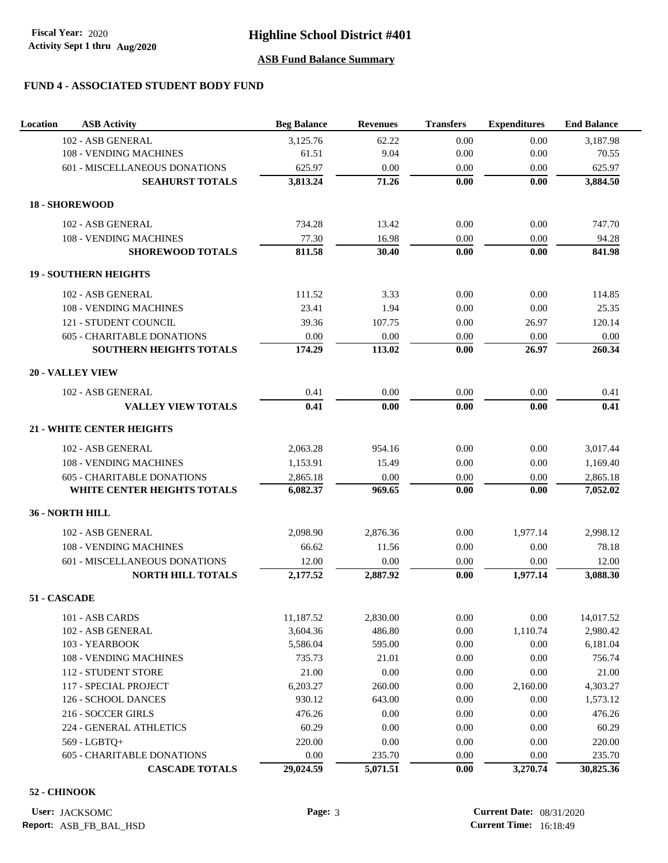# **FUND 4 - ASSOCIATED STUDENT BODY FUND**

| Location | <b>ASB Activity</b>               | <b>Beg Balance</b> | <b>Revenues</b> | <b>Transfers</b> | <b>Expenditures</b> | <b>End Balance</b> |
|----------|-----------------------------------|--------------------|-----------------|------------------|---------------------|--------------------|
|          | 102 - ASB GENERAL                 | 3,125.76           | 62.22           | 0.00             | 0.00                | 3,187.98           |
|          | 108 - VENDING MACHINES            | 61.51              | 9.04            | 0.00             | 0.00                | 70.55              |
|          | 601 - MISCELLANEOUS DONATIONS     | 625.97             | 0.00            | 0.00             | 0.00                | 625.97             |
|          | <b>SEAHURST TOTALS</b>            | 3,813.24           | 71.26           | 0.00             | 0.00                | 3,884.50           |
|          | <b>18 - SHOREWOOD</b>             |                    |                 |                  |                     |                    |
|          | 102 - ASB GENERAL                 | 734.28             | 13.42           | 0.00             | 0.00                | 747.70             |
|          | 108 - VENDING MACHINES            | 77.30              | 16.98           | 0.00             | 0.00                | 94.28              |
|          | <b>SHOREWOOD TOTALS</b>           | 811.58             | 30.40           | 0.00             | 0.00                | 841.98             |
|          | <b>19 - SOUTHERN HEIGHTS</b>      |                    |                 |                  |                     |                    |
|          | 102 - ASB GENERAL                 | 111.52             | 3.33            | 0.00             | 0.00                | 114.85             |
|          | 108 - VENDING MACHINES            | 23.41              | 1.94            | 0.00             | 0.00                | 25.35              |
|          | 121 - STUDENT COUNCIL             | 39.36              | 107.75          | 0.00             | 26.97               | 120.14             |
|          | <b>605 - CHARITABLE DONATIONS</b> | 0.00               | 0.00            | 0.00             | 0.00                | 0.00               |
|          | SOUTHERN HEIGHTS TOTALS           | 174.29             | 113.02          | 0.00             | 26.97               | 260.34             |
|          | <b>20 - VALLEY VIEW</b>           |                    |                 |                  |                     |                    |
|          | 102 - ASB GENERAL                 | 0.41               | 0.00            | 0.00             | 0.00                | 0.41               |
|          | <b>VALLEY VIEW TOTALS</b>         | 0.41               | 0.00            | 0.00             | 0.00                | 0.41               |
|          | <b>21 - WHITE CENTER HEIGHTS</b>  |                    |                 |                  |                     |                    |
|          | 102 - ASB GENERAL                 | 2,063.28           | 954.16          | 0.00             | 0.00                | 3,017.44           |
|          | 108 - VENDING MACHINES            | 1,153.91           | 15.49           | 0.00             | 0.00                | 1,169.40           |
|          | <b>605 - CHARITABLE DONATIONS</b> | 2,865.18           | 0.00            | $0.00\,$         | $0.00\,$            | 2,865.18           |
|          | WHITE CENTER HEIGHTS TOTALS       | 6,082.37           | 969.65          | 0.00             | 0.00                | 7,052.02           |
|          | 36 - NORTH HILL                   |                    |                 |                  |                     |                    |
|          | 102 - ASB GENERAL                 | 2,098.90           | 2,876.36        | 0.00             | 1,977.14            | 2,998.12           |
|          | 108 - VENDING MACHINES            | 66.62              | 11.56           | 0.00             | 0.00                | 78.18              |
|          | 601 - MISCELLANEOUS DONATIONS     | 12.00              | 0.00            | 0.00             | 0.00                | 12.00              |
|          | <b>NORTH HILL TOTALS</b>          | 2,177.52           | 2,887.92        | 0.00             | 1,977.14            | 3,088.30           |
|          | 51 - CASCADE                      |                    |                 |                  |                     |                    |
|          | 101 - ASB CARDS                   | 11,187.52          | 2,830.00        | $0.00\,$         | 0.00                | 14,017.52          |
|          | 102 - ASB GENERAL                 | 3,604.36           | 486.80          | $0.00\,$         | 1,110.74            | 2,980.42           |
|          | 103 - YEARBOOK                    | 5,586.04           | 595.00          | $0.00\,$         | 0.00                | 6,181.04           |
|          | 108 - VENDING MACHINES            | 735.73             | 21.01           | 0.00             | 0.00                | 756.74             |
|          | 112 - STUDENT STORE               | 21.00              | 0.00            | 0.00             | 0.00                | 21.00              |
|          | 117 - SPECIAL PROJECT             | 6,203.27           | 260.00          | 0.00             | 2,160.00            | 4,303.27           |
|          | 126 - SCHOOL DANCES               | 930.12             | 643.00          | 0.00             | 0.00                | 1,573.12           |
|          | 216 - SOCCER GIRLS                | 476.26             | 0.00            | 0.00             | 0.00                | 476.26             |
|          | 224 - GENERAL ATHLETICS           | 60.29              | 0.00            | 0.00             | 0.00                | 60.29              |
|          | 569 - LGBTQ+                      | 220.00             | 0.00            | 0.00             | 0.00                | 220.00             |
|          | <b>605 - CHARITABLE DONATIONS</b> | 0.00               | 235.70          | 0.00             | 0.00                | 235.70             |
|          | <b>CASCADE TOTALS</b>             | 29,024.59          | 5,071.51        | $0.00\,$         | 3,270.74            | 30,825.36          |

#### **52 - CHINOOK**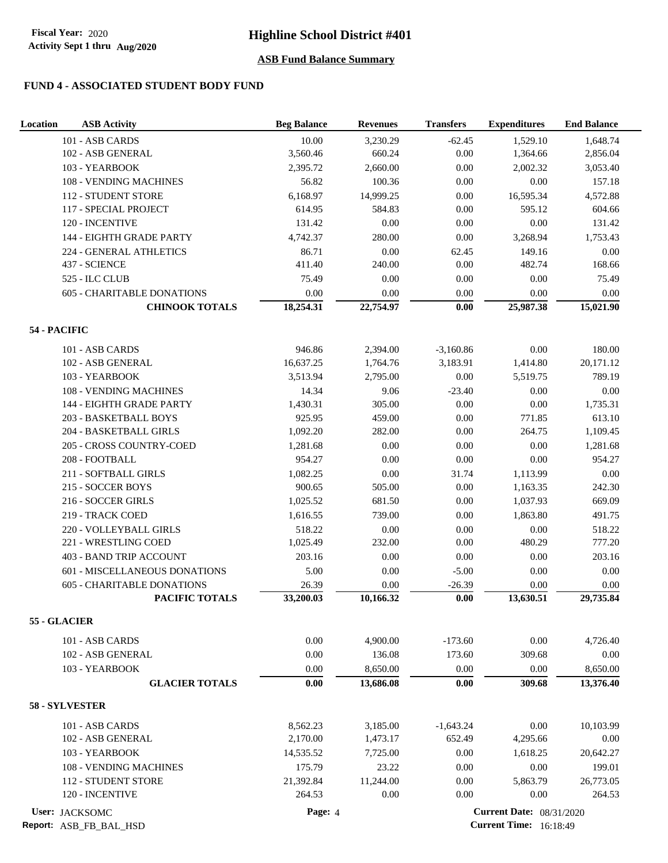## **FUND 4 - ASSOCIATED STUDENT BODY FUND**

| Location<br><b>ASB Activity</b>   | <b>Beg Balance</b> | <b>Revenues</b> | <b>Transfers</b> | <b>Expenditures</b>             | <b>End Balance</b> |
|-----------------------------------|--------------------|-----------------|------------------|---------------------------------|--------------------|
| 101 - ASB CARDS                   | 10.00              | 3,230.29        | $-62.45$         | 1,529.10                        | 1,648.74           |
| 102 - ASB GENERAL                 | 3,560.46           | 660.24          | 0.00             | 1,364.66                        | 2,856.04           |
| 103 - YEARBOOK                    | 2,395.72           | 2,660.00        | 0.00             | 2,002.32                        | 3,053.40           |
| 108 - VENDING MACHINES            | 56.82              | 100.36          | 0.00             | $0.00\,$                        | 157.18             |
| 112 - STUDENT STORE               | 6,168.97           | 14,999.25       | 0.00             | 16,595.34                       | 4,572.88           |
| 117 - SPECIAL PROJECT             | 614.95             | 584.83          | 0.00             | 595.12                          | 604.66             |
| 120 - INCENTIVE                   | 131.42             | 0.00            | 0.00             | 0.00                            | 131.42             |
| 144 - EIGHTH GRADE PARTY          | 4,742.37           | 280.00          | 0.00             | 3,268.94                        | 1,753.43           |
| 224 - GENERAL ATHLETICS           | 86.71              | $0.00\,$        | 62.45            | 149.16                          | $0.00\,$           |
| 437 - SCIENCE                     | 411.40             | 240.00          | 0.00             | 482.74                          | 168.66             |
| 525 - ILC CLUB                    | 75.49              | 0.00            | 0.00             | 0.00                            | 75.49              |
| <b>605 - CHARITABLE DONATIONS</b> | 0.00               | 0.00            | 0.00             | 0.00                            | 0.00               |
| <b>CHINOOK TOTALS</b>             | 18,254.31          | 22,754.97       | $0.00\,$         | 25,987.38                       | 15,021.90          |
| 54 - PACIFIC                      |                    |                 |                  |                                 |                    |
| 101 - ASB CARDS                   | 946.86             | 2,394.00        | $-3,160.86$      | $0.00\,$                        | 180.00             |
| 102 - ASB GENERAL                 | 16,637.25          | 1,764.76        | 3,183.91         | 1,414.80                        | 20,171.12          |
| 103 - YEARBOOK                    | 3,513.94           | 2,795.00        | 0.00             | 5,519.75                        | 789.19             |
| <b>108 - VENDING MACHINES</b>     | 14.34              | 9.06            | $-23.40$         | 0.00                            | 0.00               |
| 144 - EIGHTH GRADE PARTY          | 1,430.31           | 305.00          | 0.00             | 0.00                            | 1,735.31           |
| 203 - BASKETBALL BOYS             | 925.95             | 459.00          | 0.00             | 771.85                          | 613.10             |
| 204 - BASKETBALL GIRLS            | 1,092.20           | 282.00          | 0.00             | 264.75                          | 1,109.45           |
| 205 - CROSS COUNTRY-COED          | 1,281.68           | 0.00            | 0.00             | 0.00                            | 1,281.68           |
| 208 - FOOTBALL                    | 954.27             | 0.00            | 0.00             | 0.00                            | 954.27             |
| 211 - SOFTBALL GIRLS              | 1,082.25           | 0.00            | 31.74            | 1,113.99                        | 0.00               |
| 215 - SOCCER BOYS                 | 900.65             | 505.00          | 0.00             | 1,163.35                        | 242.30             |
| 216 - SOCCER GIRLS                | 1,025.52           | 681.50          | 0.00             | 1,037.93                        | 669.09             |
| 219 - TRACK COED                  | 1,616.55           | 739.00          | 0.00             | 1,863.80                        | 491.75             |
| 220 - VOLLEYBALL GIRLS            | 518.22             | 0.00            | 0.00             | $0.00\,$                        | 518.22             |
| 221 - WRESTLING COED              | 1,025.49           | 232.00          | 0.00             | 480.29                          | 777.20             |
| 403 - BAND TRIP ACCOUNT           | 203.16             | 0.00            | 0.00             | 0.00                            | 203.16             |
| 601 - MISCELLANEOUS DONATIONS     | 5.00               | 0.00            | $-5.00$          | $0.00\,$                        | $0.00\,$           |
| 605 - CHARITABLE DONATIONS        | 26.39              | $0.00\,$        | $-26.39$         | 0.00                            | 0.00               |
| PACIFIC TOTALS                    | 33,200.03          | 10,166.32       | $0.00\,$         | 13,630.51                       | 29,735.84          |
| 55 - GLACIER                      |                    |                 |                  |                                 |                    |
| 101 - ASB CARDS                   | $0.00\,$           | 4,900.00        | $-173.60$        | 0.00                            | 4,726.40           |
| 102 - ASB GENERAL                 | $0.00\,$           | 136.08          | 173.60           | 309.68                          | 0.00               |
| 103 - YEARBOOK                    | 0.00               | 8,650.00        | 0.00             | 0.00                            | 8,650.00           |
| <b>GLACIER TOTALS</b>             | $0.00\,$           | 13,686.08       | 0.00             | 309.68                          | 13,376.40          |
| 58 - SYLVESTER                    |                    |                 |                  |                                 |                    |
| 101 - ASB CARDS                   | 8,562.23           | 3,185.00        | $-1,643.24$      | 0.00                            | 10,103.99          |
| 102 - ASB GENERAL                 | 2,170.00           | 1,473.17        | 652.49           | 4,295.66                        | 0.00               |
| 103 - YEARBOOK                    | 14,535.52          | 7,725.00        | 0.00             | 1,618.25                        | 20,642.27          |
| 108 - VENDING MACHINES            | 175.79             | 23.22           | 0.00             | 0.00                            | 199.01             |
| 112 - STUDENT STORE               | 21,392.84          | 11,244.00       | 0.00             | 5,863.79                        | 26,773.05          |
| 120 - INCENTIVE                   | 264.53             | 0.00            | 0.00             | 0.00                            | 264.53             |
| User: JACKSOMC                    | Page: 4            |                 |                  | <b>Current Date: 08/31/2020</b> |                    |

**Report:** ASB\_FB\_BAL\_HSD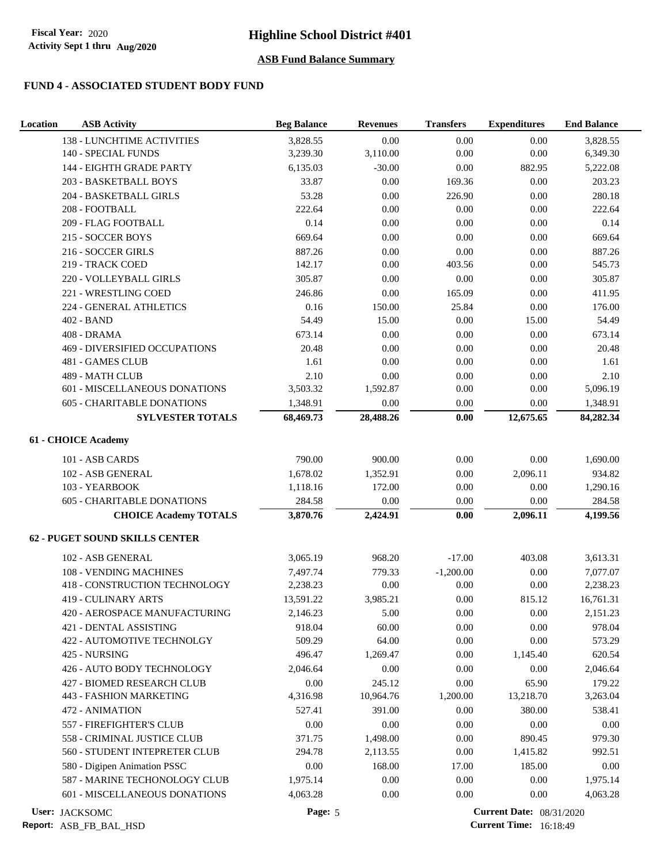## **FUND 4 - ASSOCIATED STUDENT BODY FUND**

| Location | <b>ASB Activity</b>                                          | <b>Beg Balance</b> | <b>Revenues</b>      | <b>Transfers</b>    | <b>Expenditures</b>             | <b>End Balance</b> |
|----------|--------------------------------------------------------------|--------------------|----------------------|---------------------|---------------------------------|--------------------|
|          | 138 - LUNCHTIME ACTIVITIES                                   | 3,828.55           | 0.00                 | 0.00                | 0.00                            | 3,828.55           |
|          | 140 - SPECIAL FUNDS                                          | 3,239.30           | 3,110.00             | 0.00                | 0.00                            | 6,349.30           |
|          | 144 - EIGHTH GRADE PARTY                                     | 6,135.03           | $-30.00$             | 0.00                | 882.95                          | 5,222.08           |
|          | 203 - BASKETBALL BOYS                                        | 33.87              | 0.00                 | 169.36              | 0.00                            | 203.23             |
|          | 204 - BASKETBALL GIRLS                                       | 53.28              | 0.00                 | 226.90              | 0.00                            | 280.18             |
|          | 208 - FOOTBALL                                               | 222.64             | 0.00                 | 0.00                | $0.00\,$                        | 222.64             |
|          | 209 - FLAG FOOTBALL                                          | 0.14               | 0.00                 | 0.00                | 0.00                            | 0.14               |
|          | 215 - SOCCER BOYS                                            | 669.64             | 0.00                 | 0.00                | 0.00                            | 669.64             |
|          | 216 - SOCCER GIRLS                                           | 887.26             | 0.00                 | 0.00                | 0.00                            | 887.26             |
|          | 219 - TRACK COED                                             | 142.17             | 0.00                 | 403.56              | 0.00                            | 545.73             |
|          | 220 - VOLLEYBALL GIRLS                                       | 305.87             | 0.00                 | 0.00                | 0.00                            | 305.87             |
|          | 221 - WRESTLING COED                                         | 246.86             | $0.00\,$             | 165.09              | 0.00                            | 411.95             |
|          | 224 - GENERAL ATHLETICS                                      | 0.16               | 150.00               | 25.84               | 0.00                            | 176.00             |
|          | 402 - BAND                                                   | 54.49              | 15.00                | $0.00\,$            | 15.00                           | 54.49              |
|          | 408 - DRAMA                                                  | 673.14             | 0.00                 | 0.00                | 0.00                            | 673.14             |
|          | 469 - DIVERSIFIED OCCUPATIONS                                | 20.48              | 0.00                 | 0.00                | 0.00                            | 20.48              |
|          | 481 - GAMES CLUB                                             | 1.61               | 0.00                 | $0.00\,$            | 0.00                            | 1.61               |
|          | 489 - MATH CLUB                                              | 2.10               | 0.00                 | 0.00                | 0.00                            | 2.10               |
|          | 601 - MISCELLANEOUS DONATIONS                                | 3,503.32           | 1,592.87             | 0.00                | 0.00                            | 5,096.19           |
|          | 605 - CHARITABLE DONATIONS                                   | 1,348.91           | 0.00                 | 0.00                | 0.00                            | 1,348.91           |
|          | <b>SYLVESTER TOTALS</b>                                      | 68,469.73          | 28,488.26            | $0.00\,$            | 12,675.65                       | 84,282.34          |
|          | 61 - CHOICE Academy                                          |                    |                      |                     |                                 |                    |
|          | 101 - ASB CARDS                                              | 790.00             | 900.00               | 0.00                | 0.00                            | 1,690.00           |
|          | 102 - ASB GENERAL                                            | 1,678.02           | 1,352.91             | 0.00                | 2,096.11                        | 934.82             |
|          | 103 - YEARBOOK                                               | 1,118.16           | 172.00               | 0.00                | 0.00                            | 1,290.16           |
|          | <b>605 - CHARITABLE DONATIONS</b>                            | 284.58             | 0.00                 | 0.00                | 0.00                            | 284.58             |
|          | <b>CHOICE Academy TOTALS</b>                                 | 3,870.76           | 2,424.91             | $0.00\,$            | 2,096.11                        | 4,199.56           |
|          | <b>62 - PUGET SOUND SKILLS CENTER</b>                        |                    |                      |                     |                                 |                    |
|          |                                                              |                    |                      |                     |                                 |                    |
|          | 102 - ASB GENERAL                                            | 3,065.19           | 968.20               | $-17.00$            | 403.08                          | 3,613.31           |
|          | 108 - VENDING MACHINES                                       | 7,497.74           | 779.33<br>0.00       | $-1,200.00$<br>0.00 | 0.00                            | 7,077.07           |
|          | 418 - CONSTRUCTION TECHNOLOGY                                | 2,238.23           |                      |                     | 0.00                            | 2,238.23           |
|          | <b>419 - CULINARY ARTS</b>                                   | 13,591.22          | 3,985.21             | 0.00                | 815.12                          | 16,761.31          |
|          | 420 - AEROSPACE MANUFACTURING                                | 2,146.23           | 5.00                 | $0.00\,$            | 0.00                            | 2,151.23           |
|          | 421 - DENTAL ASSISTING<br>422 - AUTOMOTIVE TECHNOLGY         | 918.04<br>509.29   | 60.00<br>64.00       | $0.00\,$<br>0.00    | $0.00\,$<br>$0.00\,$            | 978.04<br>573.29   |
|          |                                                              |                    |                      |                     |                                 |                    |
|          | 425 - NURSING<br>426 - AUTO BODY TECHNOLOGY                  | 496.47<br>2,046.64 | 1,269.47<br>$0.00\,$ | 0.00<br>0.00        | 1,145.40<br>0.00                | 620.54<br>2,046.64 |
|          | <b>427 - BIOMED RESEARCH CLUB</b>                            |                    |                      |                     |                                 | 179.22             |
|          | 443 - FASHION MARKETING                                      | 0.00<br>4,316.98   | 245.12<br>10,964.76  | 0.00<br>1,200.00    | 65.90<br>13,218.70              | 3,263.04           |
|          | 472 - ANIMATION                                              | 527.41             | 391.00               | 0.00                | 380.00                          | 538.41             |
|          | 557 - FIREFIGHTER'S CLUB                                     | 0.00               | $0.00\,$             | 0.00                | $0.00\,$                        | 0.00               |
|          |                                                              |                    |                      |                     |                                 |                    |
|          | 558 - CRIMINAL JUSTICE CLUB<br>560 - STUDENT INTEPRETER CLUB | 371.75<br>294.78   | 1,498.00<br>2,113.55 | 0.00<br>0.00        | 890.45<br>1,415.82              | 979.30<br>992.51   |
|          | 580 - Digipen Animation PSSC                                 | 0.00               | 168.00               | 17.00               | 185.00                          | 0.00               |
|          | 587 - MARINE TECHONOLOGY CLUB                                | 1,975.14           | 0.00                 | $0.00\,$            | 0.00                            | 1,975.14           |
|          | 601 - MISCELLANEOUS DONATIONS                                | 4,063.28           | 0.00                 | 0.00                | 0.00                            | 4,063.28           |
|          |                                                              |                    |                      |                     |                                 |                    |
|          | User: JACKSOMC                                               | Page: 5            |                      |                     | <b>Current Date: 08/31/2020</b> |                    |

**Report:** ASB\_FB\_BAL\_HSD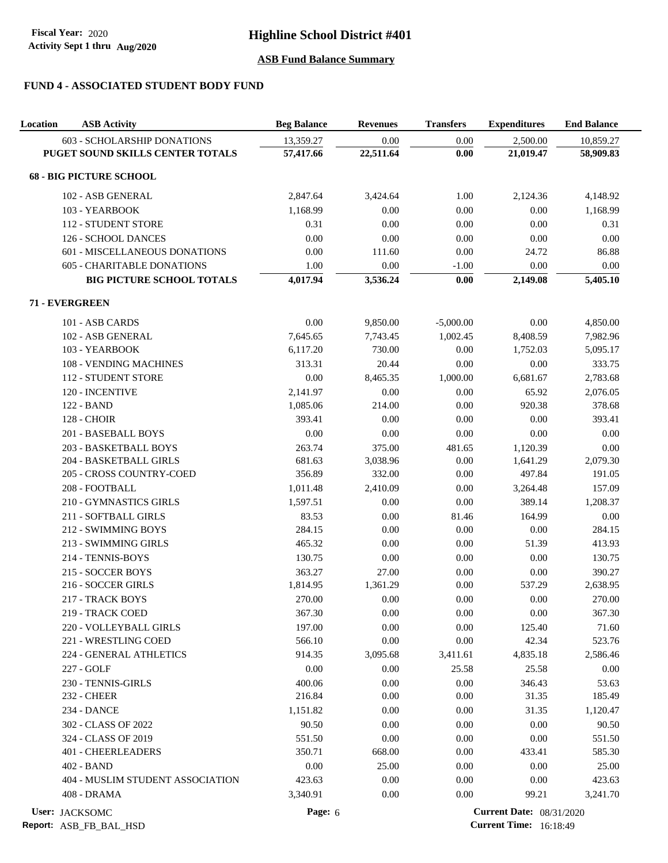# **FUND 4 - ASSOCIATED STUDENT BODY FUND**

| Location | <b>ASB Activity</b>               | <b>Beg Balance</b> | <b>Revenues</b> | <b>Transfers</b> | <b>Expenditures</b>             | <b>End Balance</b> |
|----------|-----------------------------------|--------------------|-----------------|------------------|---------------------------------|--------------------|
|          | 603 - SCHOLARSHIP DONATIONS       | 13,359.27          | 0.00            | 0.00             | 2,500.00                        | 10,859.27          |
|          | PUGET SOUND SKILLS CENTER TOTALS  | 57,417.66          | 22,511.64       | 0.00             | 21,019.47                       | 58,909.83          |
|          | <b>68 - BIG PICTURE SCHOOL</b>    |                    |                 |                  |                                 |                    |
|          | 102 - ASB GENERAL                 | 2,847.64           | 3,424.64        | 1.00             | 2,124.36                        | 4,148.92           |
|          | 103 - YEARBOOK                    | 1,168.99           | 0.00            | 0.00             | 0.00                            | 1,168.99           |
|          | 112 - STUDENT STORE               | 0.31               | 0.00            | 0.00             | 0.00                            | 0.31               |
|          | 126 - SCHOOL DANCES               | 0.00               | 0.00            | 0.00             | 0.00                            | 0.00               |
|          | 601 - MISCELLANEOUS DONATIONS     | 0.00               | 111.60          | 0.00             | 24.72                           | 86.88              |
|          | <b>605 - CHARITABLE DONATIONS</b> | 1.00               | $0.00\,$        | $-1.00$          | 0.00                            | 0.00               |
|          | <b>BIG PICTURE SCHOOL TOTALS</b>  | 4,017.94           | 3,536.24        | 0.00             | 2,149.08                        | 5,405.10           |
|          | 71 - EVERGREEN                    |                    |                 |                  |                                 |                    |
|          | 101 - ASB CARDS                   | 0.00               | 9,850.00        | $-5,000.00$      | 0.00                            | 4,850.00           |
|          | 102 - ASB GENERAL                 | 7,645.65           | 7,743.45        | 1,002.45         | 8,408.59                        | 7,982.96           |
|          | 103 - YEARBOOK                    | 6,117.20           | 730.00          | 0.00             | 1,752.03                        | 5,095.17           |
|          | 108 - VENDING MACHINES            | 313.31             | 20.44           | $0.00\,$         | 0.00                            | 333.75             |
|          | <b>112 - STUDENT STORE</b>        | 0.00               | 8,465.35        | 1,000.00         | 6,681.67                        | 2,783.68           |
|          | 120 - INCENTIVE                   | 2,141.97           | 0.00            | 0.00             | 65.92                           | 2,076.05           |
|          | 122 - BAND                        | 1,085.06           | 214.00          | 0.00             | 920.38                          | 378.68             |
|          | <b>128 - CHOIR</b>                | 393.41             | 0.00            | 0.00             | 0.00                            | 393.41             |
|          | 201 - BASEBALL BOYS               | 0.00               | 0.00            | 0.00             | 0.00                            | $0.00\,$           |
|          | 203 - BASKETBALL BOYS             | 263.74             | 375.00          | 481.65           | 1,120.39                        | 0.00               |
|          | 204 - BASKETBALL GIRLS            | 681.63             | 3,038.96        | 0.00             | 1,641.29                        | 2,079.30           |
|          | 205 - CROSS COUNTRY-COED          | 356.89             | 332.00          | 0.00             | 497.84                          | 191.05             |
|          | 208 - FOOTBALL                    | 1,011.48           | 2,410.09        | 0.00             | 3,264.48                        | 157.09             |
|          | 210 - GYMNASTICS GIRLS            | 1,597.51           | 0.00            | $0.00\,$         | 389.14                          | 1,208.37           |
|          | 211 - SOFTBALL GIRLS              | 83.53              | 0.00            | 81.46            | 164.99                          | 0.00               |
|          | 212 - SWIMMING BOYS               | 284.15             | 0.00            | 0.00             | $0.00\,$                        | 284.15             |
|          | 213 - SWIMMING GIRLS              | 465.32             | 0.00            | 0.00             | 51.39                           | 413.93             |
|          | 214 - TENNIS-BOYS                 | 130.75             | 0.00            | 0.00             | 0.00                            | 130.75             |
|          | 215 - SOCCER BOYS                 | 363.27             | 27.00           | 0.00             | 0.00                            | 390.27             |
|          | 216 - SOCCER GIRLS                | 1,814.95           | 1,361.29        | 0.00             | 537.29                          | 2,638.95           |
|          | 217 - TRACK BOYS                  | 270.00             | 0.00            | 0.00             | 0.00                            | 270.00             |
|          | 219 - TRACK COED                  | 367.30             | 0.00            | 0.00             | 0.00                            | 367.30             |
|          | 220 - VOLLEYBALL GIRLS            | 197.00             | 0.00            | $0.00\,$         | 125.40                          | 71.60              |
|          | 221 - WRESTLING COED              | 566.10             | 0.00            | $0.00\,$         | 42.34                           | 523.76             |
|          | 224 - GENERAL ATHLETICS           | 914.35             | 3,095.68        | 3,411.61         | 4,835.18                        | 2,586.46           |
|          | 227 - GOLF                        | 0.00               | 0.00            | 25.58            | 25.58                           | 0.00               |
|          | 230 - TENNIS-GIRLS                | 400.06             | 0.00            | 0.00             | 346.43                          | 53.63              |
|          | <b>232 - CHEER</b>                | 216.84             | 0.00            | 0.00             | 31.35                           | 185.49             |
|          | <b>234 - DANCE</b>                | 1,151.82           | 0.00            | 0.00             | 31.35                           | 1,120.47           |
|          | 302 - CLASS OF 2022               | 90.50              | 0.00            | 0.00             | 0.00                            | 90.50              |
|          | 324 - CLASS OF 2019               | 551.50             | 0.00            | 0.00             | 0.00                            | 551.50             |
|          | 401 - CHEERLEADERS                | 350.71             | 668.00          | 0.00             | 433.41                          | 585.30             |
|          | 402 - BAND                        | 0.00               | 25.00           | 0.00             | 0.00                            | 25.00              |
|          | 404 - MUSLIM STUDENT ASSOCIATION  | 423.63             | 0.00            | 0.00             | 0.00                            | 423.63             |
|          | 408 - DRAMA                       | 3,340.91           | 0.00            | 0.00             | 99.21                           | 3,241.70           |
|          | User: JACKSOMC                    | Page: 6            |                 |                  | <b>Current Date: 08/31/2020</b> |                    |

**Report:** ASB\_FB\_BAL\_HSD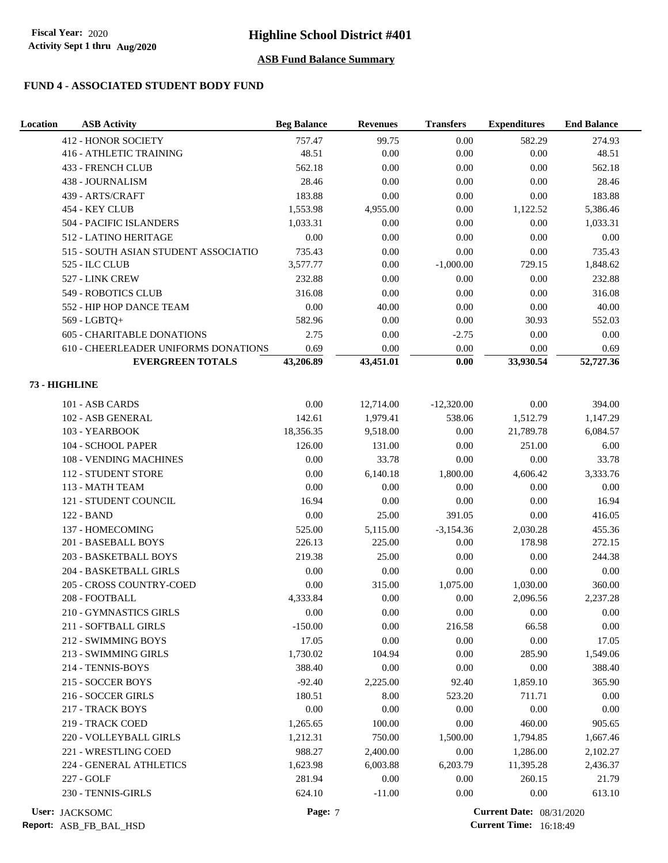# **FUND 4 - ASSOCIATED STUDENT BODY FUND**

| Location | <b>ASB Activity</b>                  | <b>Beg Balance</b> | <b>Revenues</b> | <b>Transfers</b> | <b>Expenditures</b>             | <b>End Balance</b> |
|----------|--------------------------------------|--------------------|-----------------|------------------|---------------------------------|--------------------|
|          | <b>412 - HONOR SOCIETY</b>           | 757.47             | 99.75           | 0.00             | 582.29                          | 274.93             |
|          | 416 - ATHLETIC TRAINING              | 48.51              | 0.00            | $0.00\,$         | 0.00                            | 48.51              |
|          | 433 - FRENCH CLUB                    | 562.18             | 0.00            | 0.00             | 0.00                            | 562.18             |
|          | 438 - JOURNALISM                     | 28.46              | 0.00            | 0.00             | 0.00                            | 28.46              |
|          | 439 - ARTS/CRAFT                     | 183.88             | 0.00            | $0.00\,$         | $0.00\,$                        | 183.88             |
|          | 454 - KEY CLUB                       | 1,553.98           | 4,955.00        | $0.00\,$         | 1,122.52                        | 5,386.46           |
|          | 504 - PACIFIC ISLANDERS              | 1,033.31           | 0.00            | 0.00             | 0.00                            | 1,033.31           |
|          | 512 - LATINO HERITAGE                | 0.00               | 0.00            | 0.00             | 0.00                            | 0.00               |
|          | 515 - SOUTH ASIAN STUDENT ASSOCIATIO | 735.43             | 0.00            | 0.00             | 0.00                            | 735.43             |
|          | 525 - ILC CLUB                       | 3,577.77           | 0.00            | $-1,000.00$      | 729.15                          | 1,848.62           |
|          | 527 - LINK CREW                      | 232.88             | 0.00            | 0.00             | 0.00                            | 232.88             |
|          | 549 - ROBOTICS CLUB                  | 316.08             | 0.00            | 0.00             | $0.00\,$                        | 316.08             |
|          | 552 - HIP HOP DANCE TEAM             | $0.00\,$           | 40.00           | $0.00\,$         | $0.00\,$                        | 40.00              |
|          | 569 - LGBTQ+                         | 582.96             | 0.00            | 0.00             | 30.93                           | 552.03             |
|          | <b>605 - CHARITABLE DONATIONS</b>    | 2.75               | 0.00            | $-2.75$          | $0.00\,$                        | 0.00               |
|          | 610 - CHEERLEADER UNIFORMS DONATIONS | 0.69               | 0.00            | 0.00             | 0.00                            | 0.69               |
|          | <b>EVERGREEN TOTALS</b>              | 43,206.89          | 43,451.01       | $0.00\,$         | 33,930.54                       | 52,727.36          |
|          | 73 - HIGHLINE                        |                    |                 |                  |                                 |                    |
|          | 101 - ASB CARDS                      | $0.00\,$           | 12,714.00       | $-12,320.00$     | 0.00                            | 394.00             |
|          | 102 - ASB GENERAL                    | 142.61             | 1,979.41        | 538.06           | 1,512.79                        | 1,147.29           |
|          | 103 - YEARBOOK                       | 18,356.35          | 9,518.00        | 0.00             | 21,789.78                       | 6,084.57           |
|          | 104 - SCHOOL PAPER                   | 126.00             | 131.00          | $0.00\,$         | 251.00                          | 6.00               |
|          | 108 - VENDING MACHINES               | 0.00               | 33.78           | 0.00             | 0.00                            | 33.78              |
|          | 112 - STUDENT STORE                  | 0.00               | 6,140.18        | 1,800.00         | 4,606.42                        | 3,333.76           |
|          | 113 - MATH TEAM                      | $0.00\,$           | 0.00            | 0.00             | 0.00                            | 0.00               |
|          | 121 - STUDENT COUNCIL                | 16.94              | 0.00            | 0.00             | 0.00                            | 16.94              |
|          | 122 - BAND                           | $0.00\,$           | 25.00           | 391.05           | 0.00                            | 416.05             |
|          | 137 - HOMECOMING                     | 525.00             | 5,115.00        | $-3,154.36$      | 2,030.28                        | 455.36             |
|          | 201 - BASEBALL BOYS                  | 226.13             | 225.00          | 0.00             | 178.98                          | 272.15             |
|          | 203 - BASKETBALL BOYS                | 219.38             | 25.00           | $0.00\,$         | 0.00                            | 244.38             |
|          | 204 - BASKETBALL GIRLS               | 0.00               | $0.00\,$        | 0.00             | $0.00\,$                        | 0.00               |
|          | 205 - CROSS COUNTRY-COED             | $0.00\,$           | 315.00          | 1,075.00         | 1,030.00                        | 360.00             |
|          | 208 - FOOTBALL                       | 4,333.84           | 0.00            | 0.00             | 2,096.56                        | 2,237.28           |
|          | 210 - GYMNASTICS GIRLS               | 0.00               | 0.00            | 0.00             | 0.00                            | 0.00               |
|          | 211 - SOFTBALL GIRLS                 | $-150.00$          | 0.00            | 216.58           | 66.58                           | 0.00               |
|          | 212 - SWIMMING BOYS                  | 17.05              | 0.00            | 0.00             | 0.00                            | 17.05              |
|          | 213 - SWIMMING GIRLS                 | 1,730.02           | 104.94          | 0.00             | 285.90                          | 1,549.06           |
|          | 214 - TENNIS-BOYS                    | 388.40             | 0.00            | 0.00             | $0.00\,$                        | 388.40             |
|          | 215 - SOCCER BOYS                    | $-92.40$           | 2,225.00        | 92.40            | 1,859.10                        | 365.90             |
|          | 216 - SOCCER GIRLS                   | 180.51             | 8.00            | 523.20           | 711.71                          | 0.00               |
|          | 217 - TRACK BOYS                     | 0.00               | 0.00            | 0.00             | 0.00                            | 0.00               |
|          | 219 - TRACK COED                     | 1,265.65           | 100.00          | 0.00             | 460.00                          | 905.65             |
|          | 220 - VOLLEYBALL GIRLS               | 1,212.31           | 750.00          | 1,500.00         | 1,794.85                        | 1,667.46           |
|          | 221 - WRESTLING COED                 | 988.27             | 2,400.00        | 0.00             | 1,286.00                        | 2,102.27           |
|          | 224 - GENERAL ATHLETICS              | 1,623.98           | 6,003.88        | 6,203.79         | 11,395.28                       | 2,436.37           |
|          | 227 - GOLF                           | 281.94             | 0.00            | 0.00             | 260.15                          | 21.79              |
|          | 230 - TENNIS-GIRLS                   | 624.10             | $-11.00$        | 0.00             | 0.00                            | 613.10             |
|          | User: JACKSOMC                       | Page: 7            |                 |                  | <b>Current Date: 08/31/2020</b> |                    |

**Report:** ASB\_FB\_BAL\_HSD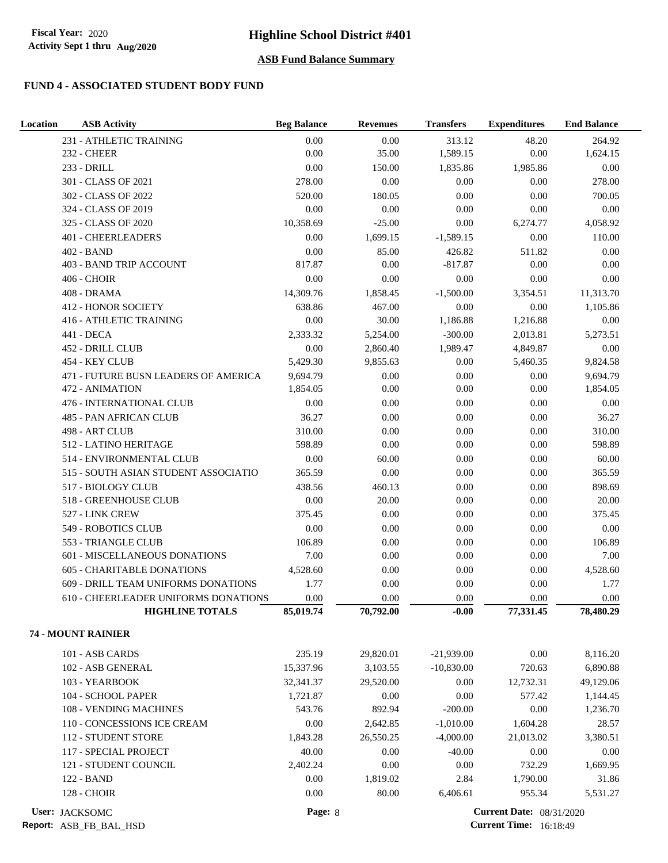## **FUND 4 - ASSOCIATED STUDENT BODY FUND**

| Location       | <b>ASB Activity</b>                                  | <b>Beg Balance</b> | <b>Revenues</b> | <b>Transfers</b> | <b>Expenditures</b>             | <b>End Balance</b> |
|----------------|------------------------------------------------------|--------------------|-----------------|------------------|---------------------------------|--------------------|
|                | 231 - ATHLETIC TRAINING                              | 0.00               | 0.00            | 313.12           | 48.20                           | 264.92             |
|                | <b>232 - CHEER</b>                                   | 0.00               | 35.00           | 1,589.15         | $0.00\,$                        | 1,624.15           |
|                | 233 - DRILL                                          | 0.00               | 150.00          | 1,835.86         | 1,985.86                        | 0.00               |
|                | 301 - CLASS OF 2021                                  | 278.00             | 0.00            | 0.00             | 0.00                            | 278.00             |
|                | 302 - CLASS OF 2022                                  | 520.00             | 180.05          | 0.00             | 0.00                            | 700.05             |
|                | 324 - CLASS OF 2019                                  | 0.00               | 0.00            | 0.00             | 0.00                            | 0.00               |
|                | 325 - CLASS OF 2020                                  | 10,358.69          | $-25.00$        | 0.00             | 6,274.77                        | 4,058.92           |
|                | 401 - CHEERLEADERS                                   | 0.00               | 1,699.15        | $-1,589.15$      | 0.00                            | 110.00             |
|                | 402 - BAND                                           | 0.00               | 85.00           | 426.82           | 511.82                          | 0.00               |
|                | 403 - BAND TRIP ACCOUNT                              | 817.87             | 0.00            | $-817.87$        | 0.00                            | 0.00               |
|                | <b>406 - CHOIR</b>                                   | 0.00               | 0.00            | 0.00             | 0.00                            | $0.00\,$           |
|                | 408 - DRAMA                                          | 14,309.76          | 1,858.45        | $-1,500.00$      | 3,354.51                        | 11,313.70          |
|                | <b>412 - HONOR SOCIETY</b>                           | 638.86             | 467.00          | 0.00             | 0.00                            | 1,105.86           |
|                | 416 - ATHLETIC TRAINING                              | 0.00               | 30.00           | 1,186.88         | 1,216.88                        | 0.00               |
|                | 441 - DECA                                           | 2,333.32           | 5,254.00        | $-300.00$        | 2,013.81                        | 5,273.51           |
|                | 452 - DRILL CLUB                                     | 0.00               | 2,860.40        | 1,989.47         | 4,849.87                        | 0.00               |
|                | 454 - KEY CLUB                                       | 5,429.30           | 9,855.63        | 0.00             | 5,460.35                        | 9,824.58           |
|                | 471 - FUTURE BUSN LEADERS OF AMERICA                 | 9,694.79           | 0.00            | 0.00             | 0.00                            | 9,694.79           |
|                | 472 - ANIMATION                                      | 1,854.05           | 0.00            | 0.00             | 0.00                            | 1,854.05           |
|                | 476 - INTERNATIONAL CLUB                             | 0.00               | 0.00            | 0.00             | 0.00                            | 0.00               |
|                | <b>485 - PAN AFRICAN CLUB</b>                        | 36.27              | 0.00            | 0.00             | 0.00                            | 36.27              |
|                | 498 - ART CLUB                                       | 310.00             | 0.00            | 0.00             | 0.00                            | 310.00             |
|                | 512 - LATINO HERITAGE                                | 598.89             | 0.00            | 0.00             | 0.00                            | 598.89             |
|                | 514 - ENVIRONMENTAL CLUB                             | 0.00               | 60.00           | 0.00             | 0.00                            | 60.00              |
|                | 515 - SOUTH ASIAN STUDENT ASSOCIATIO                 | 365.59             | 0.00            | 0.00             | 0.00                            | 365.59             |
|                | 517 - BIOLOGY CLUB                                   | 438.56             | 460.13          | 0.00             | 0.00                            | 898.69             |
|                | 518 - GREENHOUSE CLUB                                | 0.00               | 20.00           | 0.00             | 0.00                            | 20.00              |
|                | 527 - LINK CREW                                      | 375.45             | 0.00            | 0.00             | 0.00                            | 375.45             |
|                | 549 - ROBOTICS CLUB                                  | 0.00               | 0.00            | 0.00             | 0.00                            | $0.00\,$           |
|                | 553 - TRIANGLE CLUB<br>601 - MISCELLANEOUS DONATIONS | 106.89<br>7.00     | 0.00<br>0.00    | 0.00<br>0.00     | $0.00\,$<br>0.00                | 106.89<br>7.00     |
|                | <b>605 - CHARITABLE DONATIONS</b>                    | 4,528.60           | 0.00            | 0.00             | 0.00                            | 4,528.60           |
|                | 609 - DRILL TEAM UNIFORMS DONATIONS                  | 1.77               | 0.00            | 0.00             | 0.00                            | 1.77               |
|                | 610 - CHEERLEADER UNIFORMS DONATIONS                 | 0.00               | 0.00            | 0.00             | 0.00                            | 0.00               |
|                | <b>HIGHLINE TOTALS</b>                               | 85,019.74          | 70,792.00       | $-0.00$          | 77,331.45                       | 78,480.29          |
|                |                                                      |                    |                 |                  |                                 |                    |
|                | 74 - MOUNT RAINIER                                   |                    |                 |                  |                                 |                    |
|                | 101 - ASB CARDS                                      | 235.19             | 29,820.01       | $-21,939.00$     | 0.00                            | 8,116.20           |
|                | 102 - ASB GENERAL                                    | 15,337.96          | 3,103.55        | $-10,830.00$     | 720.63                          | 6,890.88           |
|                | 103 - YEARBOOK                                       | 32,341.37          | 29,520.00       | 0.00             | 12,732.31                       | 49,129.06          |
|                | 104 - SCHOOL PAPER                                   | 1,721.87           | $0.00\,$        | 0.00             | 577.42                          | 1,144.45           |
|                | 108 - VENDING MACHINES                               | 543.76             | 892.94          | $-200.00$        | $0.00\,$                        | 1,236.70           |
|                | 110 - CONCESSIONS ICE CREAM                          | 0.00               | 2,642.85        | $-1,010.00$      | 1,604.28                        | 28.57              |
|                | 112 - STUDENT STORE                                  | 1,843.28           | 26,550.25       | $-4,000.00$      | 21,013.02                       | 3,380.51           |
|                | 117 - SPECIAL PROJECT                                | 40.00              | 0.00            | $-40.00$         | 0.00                            | 0.00               |
|                | 121 - STUDENT COUNCIL                                | 2,402.24           | 0.00            | 0.00             | 732.29                          | 1,669.95           |
|                | 122 - BAND                                           | 0.00               | 1,819.02        | 2.84             | 1,790.00                        | 31.86              |
|                | <b>128 - CHOIR</b>                                   | 0.00               | 80.00           | 6,406.61         | 955.34                          | 5,531.27           |
| User: JACKSOMC |                                                      | Page: 8            |                 |                  | <b>Current Date: 08/31/2020</b> |                    |

**Report:** ASB\_FB\_BAL\_HSD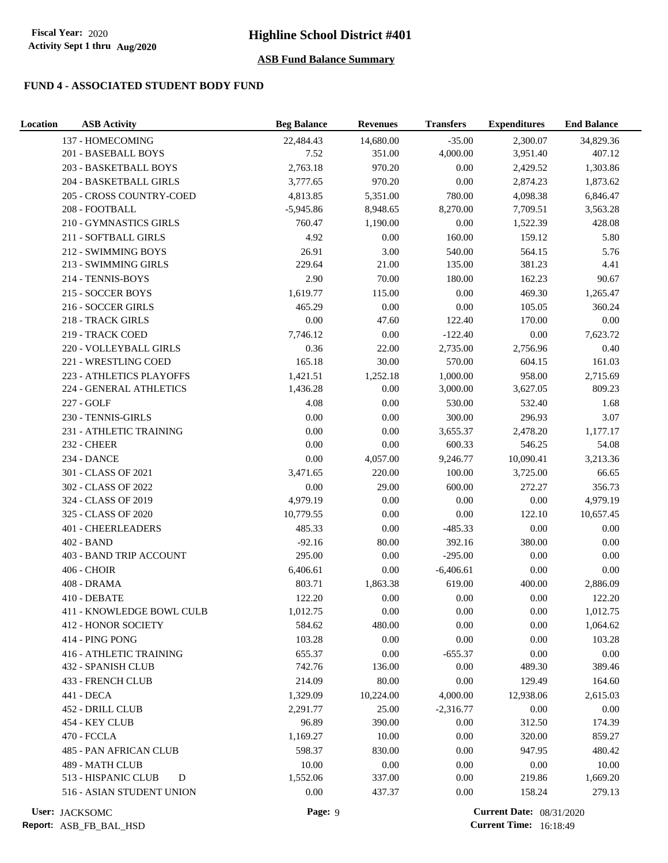## **FUND 4 - ASSOCIATED STUDENT BODY FUND**

| Location | <b>ASB Activity</b>            | <b>Beg Balance</b> | <b>Revenues</b>   | <b>Transfers</b> | <b>Expenditures</b>             | <b>End Balance</b> |
|----------|--------------------------------|--------------------|-------------------|------------------|---------------------------------|--------------------|
|          | 137 - HOMECOMING               | 22,484.43          | 14,680.00         | $-35.00$         | 2,300.07                        | 34,829.36          |
|          | 201 - BASEBALL BOYS            | 7.52               | 351.00            | 4,000.00         | 3,951.40                        | 407.12             |
|          | 203 - BASKETBALL BOYS          | 2,763.18           | 970.20            | 0.00             | 2,429.52                        | 1,303.86           |
|          | 204 - BASKETBALL GIRLS         | 3,777.65           | 970.20            | 0.00             | 2,874.23                        | 1,873.62           |
|          | 205 - CROSS COUNTRY-COED       | 4,813.85           | 5,351.00          | 780.00           | 4,098.38                        | 6,846.47           |
|          | 208 - FOOTBALL                 | $-5,945.86$        | 8,948.65          | 8,270.00         | 7,709.51                        | 3,563.28           |
|          | 210 - GYMNASTICS GIRLS         | 760.47             | 1,190.00          | 0.00             | 1,522.39                        | 428.08             |
|          | 211 - SOFTBALL GIRLS           | 4.92               | 0.00              | 160.00           | 159.12                          | 5.80               |
|          | 212 - SWIMMING BOYS            | 26.91              | 3.00              | 540.00           | 564.15                          | 5.76               |
|          | 213 - SWIMMING GIRLS           | 229.64             | 21.00             | 135.00           | 381.23                          | 4.41               |
|          | 214 - TENNIS-BOYS              | 2.90               | 70.00             | 180.00           | 162.23                          | 90.67              |
|          | 215 - SOCCER BOYS              | 1,619.77           | 115.00            | $0.00\,$         | 469.30                          | 1,265.47           |
|          | 216 - SOCCER GIRLS             | 465.29             | $0.00\,$          | $0.00\,$         | 105.05                          | 360.24             |
|          | 218 - TRACK GIRLS              | 0.00               | 47.60             | 122.40           | 170.00                          | $0.00\,$           |
|          | 219 - TRACK COED               | 7,746.12           | $0.00\,$          | $-122.40$        | $0.00\,$                        | 7,623.72           |
|          | 220 - VOLLEYBALL GIRLS         | 0.36               | 22.00             | 2,735.00         | 2,756.96                        | 0.40               |
|          | 221 - WRESTLING COED           | 165.18             | 30.00             | 570.00           | 604.15                          | 161.03             |
|          | 223 - ATHLETICS PLAYOFFS       | 1,421.51           | 1,252.18          | 1,000.00         | 958.00                          | 2,715.69           |
|          | 224 - GENERAL ATHLETICS        | 1,436.28           | 0.00              | 3,000.00         | 3,627.05                        | 809.23             |
|          | 227 - GOLF                     | 4.08               | 0.00              | 530.00           | 532.40                          | 1.68               |
|          | 230 - TENNIS-GIRLS             | $0.00\,$           | 0.00              | 300.00           | 296.93                          | 3.07               |
|          | 231 - ATHLETIC TRAINING        | 0.00               | 0.00              | 3,655.37         | 2,478.20                        | 1,177.17           |
|          | <b>232 - CHEER</b>             | 0.00               | 0.00              | 600.33           | 546.25                          | 54.08              |
|          | 234 - DANCE                    | 0.00               | 4,057.00          | 9,246.77         | 10,090.41                       | 3,213.36           |
|          | 301 - CLASS OF 2021            | 3,471.65           | 220.00            | 100.00           | 3,725.00                        | 66.65              |
|          | 302 - CLASS OF 2022            | 0.00               | 29.00             | 600.00           | 272.27                          | 356.73             |
|          | 324 - CLASS OF 2019            | 4,979.19           | 0.00              | 0.00             | $0.00\,$                        | 4,979.19           |
|          | 325 - CLASS OF 2020            | 10,779.55          | 0.00              | 0.00             | 122.10                          | 10,657.45          |
|          | <b>401 - CHEERLEADERS</b>      | 485.33             | $0.00\,$          | $-485.33$        | $0.00\,$                        | $0.00\,$           |
|          | 402 - BAND                     | $-92.16$           | 80.00<br>$0.00\,$ | 392.16           | 380.00                          | $0.00\,$           |
|          | 403 - BAND TRIP ACCOUNT        | 295.00             |                   | $-295.00$        | 0.00                            | 0.00               |
|          | 406 - CHOIR                    | 6,406.61           | 0.00              | $-6,406.61$      | 0.00                            | 0.00               |
|          | 408 - DRAMA<br>410 - DEBATE    | 803.71             | 1,863.38          | 619.00           | 400.00                          | 2,886.09           |
|          | 411 - KNOWLEDGE BOWL CULB      | 122.20<br>1,012.75 | $0.00\,$<br>0.00  | $0.00\,$<br>0.00 | $0.00\,$<br>0.00                | 122.20<br>1,012.75 |
|          | <b>412 - HONOR SOCIETY</b>     | 584.62             | 480.00            | 0.00             | 0.00                            | 1,064.62           |
|          | 414 - PING PONG                | 103.28             | 0.00              | 0.00             | 0.00                            | 103.28             |
|          | <b>416 - ATHLETIC TRAINING</b> | 655.37             | 0.00              | $-655.37$        | 0.00                            | $0.00\,$           |
|          | 432 - SPANISH CLUB             | 742.76             | 136.00            | 0.00             | 489.30                          | 389.46             |
|          | 433 - FRENCH CLUB              | 214.09             | 80.00             | 0.00             | 129.49                          | 164.60             |
|          | 441 - DECA                     | 1,329.09           | 10,224.00         | 4,000.00         | 12,938.06                       | 2,615.03           |
|          | 452 - DRILL CLUB               | 2.291.77           | 25.00             | $-2,316.77$      | 0.00                            | 0.00               |
|          | 454 - KEY CLUB                 | 96.89              | 390.00            | 0.00             | 312.50                          | 174.39             |
|          | 470 - FCCLA                    | 1,169.27           | 10.00             | 0.00             | 320.00                          | 859.27             |
|          | 485 - PAN AFRICAN CLUB         | 598.37             | 830.00            | 0.00             | 947.95                          | 480.42             |
|          | 489 - MATH CLUB                | 10.00              | $0.00\,$          | 0.00             | $0.00\,$                        | 10.00              |
|          | 513 - HISPANIC CLUB<br>D       | 1,552.06           | 337.00            | 0.00             | 219.86                          | 1,669.20           |
|          | 516 - ASIAN STUDENT UNION      | 0.00               | 437.37            | 0.00             | 158.24                          | 279.13             |
|          | User: JACKSOMC                 | Page: 9            |                   |                  | <b>Current Date: 08/31/2020</b> |                    |

User: JACKSOMC

**Report:** ASB\_FB\_BAL\_HSD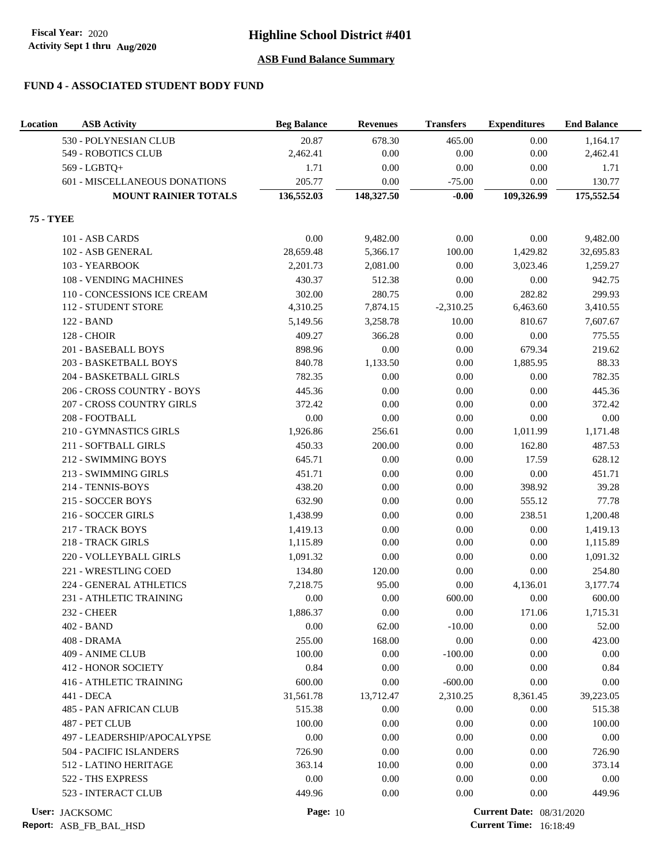## **FUND 4 - ASSOCIATED STUDENT BODY FUND**

| Location         | <b>ASB Activity</b>           | <b>Beg Balance</b> | <b>Revenues</b> | <b>Transfers</b> | <b>Expenditures</b>             | <b>End Balance</b> |
|------------------|-------------------------------|--------------------|-----------------|------------------|---------------------------------|--------------------|
|                  | 530 - POLYNESIAN CLUB         | 20.87              | 678.30          | 465.00           | 0.00                            | 1,164.17           |
|                  | 549 - ROBOTICS CLUB           | 2,462.41           | 0.00            | 0.00             | 0.00                            | 2,462.41           |
|                  | 569 - LGBTQ+                  | 1.71               | 0.00            | 0.00             | 0.00                            | 1.71               |
|                  | 601 - MISCELLANEOUS DONATIONS | 205.77             | 0.00            | $-75.00$         | 0.00                            | 130.77             |
|                  | <b>MOUNT RAINIER TOTALS</b>   | 136,552.03         | 148,327.50      | $-0.00$          | 109,326.99                      | 175,552.54         |
| <b>75 - TYEE</b> |                               |                    |                 |                  |                                 |                    |
|                  | 101 - ASB CARDS               | 0.00               | 9,482.00        | 0.00             | 0.00                            | 9,482.00           |
|                  | 102 - ASB GENERAL             | 28,659.48          | 5,366.17        | 100.00           | 1,429.82                        | 32,695.83          |
|                  | 103 - YEARBOOK                | 2,201.73           | 2,081.00        | 0.00             | 3,023.46                        | 1,259.27           |
|                  | 108 - VENDING MACHINES        | 430.37             | 512.38          | 0.00             | 0.00                            | 942.75             |
|                  | 110 - CONCESSIONS ICE CREAM   | 302.00             | 280.75          | 0.00             | 282.82                          | 299.93             |
|                  | 112 - STUDENT STORE           | 4,310.25           | 7,874.15        | $-2,310.25$      | 6,463.60                        | 3,410.55           |
|                  | 122 - BAND                    | 5,149.56           | 3,258.78        | 10.00            | 810.67                          | 7,607.67           |
|                  | <b>128 - CHOIR</b>            | 409.27             | 366.28          | 0.00             | $0.00\,$                        | 775.55             |
|                  | 201 - BASEBALL BOYS           | 898.96             | 0.00            | 0.00             | 679.34                          | 219.62             |
|                  | 203 - BASKETBALL BOYS         | 840.78             | 1,133.50        | 0.00             | 1,885.95                        | 88.33              |
|                  | 204 - BASKETBALL GIRLS        | 782.35             | 0.00            | 0.00             | 0.00                            | 782.35             |
|                  | 206 - CROSS COUNTRY - BOYS    | 445.36             | 0.00            | 0.00             | 0.00                            | 445.36             |
|                  | 207 - CROSS COUNTRY GIRLS     | 372.42             | 0.00            | 0.00             | 0.00                            | 372.42             |
|                  | 208 - FOOTBALL                | 0.00               | 0.00            | 0.00             | 0.00                            | $0.00\,$           |
|                  | 210 - GYMNASTICS GIRLS        | 1,926.86           | 256.61          | 0.00             | 1,011.99                        | 1,171.48           |
|                  | 211 - SOFTBALL GIRLS          | 450.33             | 200.00          | 0.00             | 162.80                          | 487.53             |
|                  | 212 - SWIMMING BOYS           | 645.71             | 0.00            | 0.00             | 17.59                           | 628.12             |
|                  | 213 - SWIMMING GIRLS          | 451.71             | 0.00            | 0.00             | $0.00\,$                        | 451.71             |
|                  | 214 - TENNIS-BOYS             | 438.20             | 0.00            | 0.00             | 398.92                          | 39.28              |
|                  | 215 - SOCCER BOYS             | 632.90             | 0.00            | 0.00             | 555.12                          | 77.78              |
|                  | 216 - SOCCER GIRLS            | 1,438.99           | 0.00            | 0.00             | 238.51                          | 1,200.48           |
|                  | 217 - TRACK BOYS              | 1,419.13           | 0.00            | 0.00             | 0.00                            | 1,419.13           |
|                  | 218 - TRACK GIRLS             | 1,115.89           | 0.00            | 0.00             | 0.00                            | 1,115.89           |
|                  | 220 - VOLLEYBALL GIRLS        | 1,091.32           | 0.00            | 0.00             | 0.00                            | 1,091.32           |
|                  | 221 - WRESTLING COED          | 134.80             | 120.00          | 0.00             | 0.00                            | 254.80             |
|                  | 224 - GENERAL ATHLETICS       | 7,218.75           | 95.00           | 0.00             | 4,136.01                        | 3,177.74           |
|                  | 231 - ATHLETIC TRAINING       | 0.00               | 0.00            | 600.00           | 0.00                            | 600.00             |
|                  | <b>232 - CHEER</b>            | 1,886.37           | 0.00            | 0.00             | 171.06                          | 1,715.31           |
|                  | 402 - BAND                    | 0.00               | 62.00           | $-10.00$         | $0.00\,$                        | 52.00              |
|                  | 408 - DRAMA                   | 255.00             | 168.00          | 0.00             | 0.00                            | 423.00             |
|                  | 409 - ANIME CLUB              | 100.00             | 0.00            | $-100.00$        | 0.00                            | 0.00               |
|                  | <b>412 - HONOR SOCIETY</b>    | 0.84               | 0.00            | 0.00             | 0.00                            | 0.84               |
|                  | 416 - ATHLETIC TRAINING       | 600.00             | 0.00            | $-600.00$        | 0.00                            | 0.00               |
|                  | 441 - DECA                    | 31,561.78          | 13,712.47       | 2,310.25         | 8,361.45                        | 39,223.05          |
|                  | 485 - PAN AFRICAN CLUB        | 515.38             | 0.00            | 0.00             | 0.00                            | 515.38             |
|                  | 487 - PET CLUB                | 100.00             | 0.00            | 0.00             | 0.00                            | 100.00             |
|                  | 497 - LEADERSHIP/APOCALYPSE   | 0.00               | 0.00            | 0.00             | 0.00                            | 0.00               |
|                  | 504 - PACIFIC ISLANDERS       | 726.90             | 0.00            | 0.00             | 0.00                            | 726.90             |
|                  | 512 - LATINO HERITAGE         | 363.14             | 10.00           | 0.00             | 0.00                            | 373.14             |
|                  | 522 - THS EXPRESS             | 0.00               | 0.00            | 0.00             | 0.00                            | 0.00               |
|                  | 523 - INTERACT CLUB           | 449.96             | 0.00            | 0.00             | 0.00                            | 449.96             |
|                  | User: JACKSOMC                | <b>Page: 10</b>    |                 |                  | <b>Current Date: 08/31/2020</b> |                    |

**Report:** ASB\_FB\_BAL\_HSD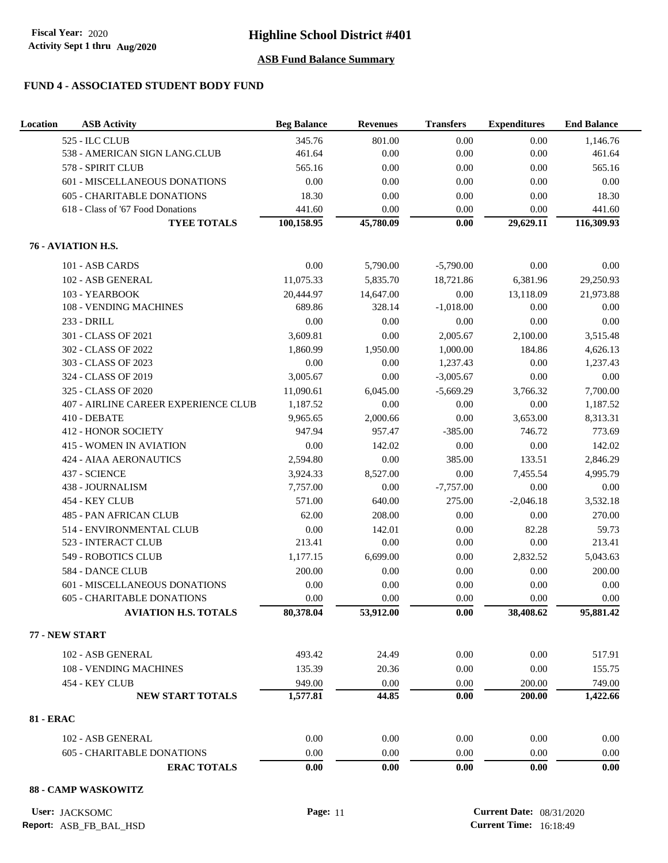### **FUND 4 - ASSOCIATED STUDENT BODY FUND**

| Location         | <b>ASB</b> Activity                  | <b>Beg Balance</b> | <b>Revenues</b> | <b>Transfers</b> | <b>Expenditures</b> | <b>End Balance</b> |
|------------------|--------------------------------------|--------------------|-----------------|------------------|---------------------|--------------------|
|                  | 525 - ILC CLUB                       | 345.76             | 801.00          | 0.00             | 0.00                | 1,146.76           |
|                  | 538 - AMERICAN SIGN LANG.CLUB        | 461.64             | 0.00            | 0.00             | 0.00                | 461.64             |
|                  | 578 - SPIRIT CLUB                    | 565.16             | 0.00            | 0.00             | 0.00                | 565.16             |
|                  | 601 - MISCELLANEOUS DONATIONS        | 0.00               | 0.00            | 0.00             | 0.00                | $0.00\,$           |
|                  | <b>605 - CHARITABLE DONATIONS</b>    | 18.30              | 0.00            | 0.00             | 0.00                | 18.30              |
|                  | 618 - Class of '67 Food Donations    | 441.60             | 0.00            | 0.00             | 0.00                | 441.60             |
|                  | <b>TYEE TOTALS</b>                   | 100,158.95         | 45,780.09       | 0.00             | 29,629.11           | 116,309.93         |
|                  | 76 - AVIATION H.S.                   |                    |                 |                  |                     |                    |
|                  | 101 - ASB CARDS                      | 0.00               | 5,790.00        | $-5,790.00$      | 0.00                | 0.00               |
|                  | 102 - ASB GENERAL                    | 11,075.33          | 5,835.70        | 18,721.86        | 6,381.96            | 29,250.93          |
|                  | 103 - YEARBOOK                       | 20,444.97          | 14,647.00       | 0.00             | 13,118.09           | 21,973.88          |
|                  | 108 - VENDING MACHINES               | 689.86             | 328.14          | $-1,018.00$      | 0.00                | 0.00               |
|                  | 233 - DRILL                          | 0.00               | 0.00            | 0.00             | 0.00                | 0.00               |
|                  | 301 - CLASS OF 2021                  | 3,609.81           | 0.00            | 2,005.67         | 2,100.00            | 3,515.48           |
|                  | 302 - CLASS OF 2022                  | 1.860.99           | 1,950.00        | 1,000.00         | 184.86              | 4,626.13           |
|                  | 303 - CLASS OF 2023                  | 0.00               | 0.00            | 1,237.43         | 0.00                | 1,237.43           |
|                  | 324 - CLASS OF 2019                  | 3,005.67           | 0.00            | $-3,005.67$      | 0.00                | $0.00\,$           |
|                  | 325 - CLASS OF 2020                  | 11,090.61          | 6,045.00        | $-5,669.29$      | 3,766.32            | 7,700.00           |
|                  | 407 - AIRLINE CAREER EXPERIENCE CLUB | 1,187.52           | 0.00            | 0.00             | 0.00                | 1,187.52           |
|                  | 410 - DEBATE                         | 9,965.65           | 2,000.66        | 0.00             | 3,653.00            | 8,313.31           |
|                  | <b>412 - HONOR SOCIETY</b>           | 947.94             | 957.47          | $-385.00$        | 746.72              | 773.69             |
|                  | <b>415 - WOMEN IN AVIATION</b>       | 0.00               | 142.02          | 0.00             | 0.00                | 142.02             |
|                  | <b>424 - AIAA AERONAUTICS</b>        | 2,594.80           | 0.00            | 385.00           | 133.51              | 2,846.29           |
|                  | 437 - SCIENCE                        | 3,924.33           | 8,527.00        | 0.00             | 7,455.54            | 4,995.79           |
|                  | 438 - JOURNALISM                     | 7,757.00           | 0.00            | $-7,757.00$      | 0.00                | 0.00               |
|                  | 454 - KEY CLUB                       | 571.00             | 640.00          | 275.00           | $-2,046.18$         | 3,532.18           |
|                  | 485 - PAN AFRICAN CLUB               | 62.00              | 208.00          | 0.00             | 0.00                | 270.00             |
|                  | 514 - ENVIRONMENTAL CLUB             | 0.00               | 142.01          | 0.00             | 82.28               | 59.73              |
|                  | 523 - INTERACT CLUB                  | 213.41             | 0.00            | 0.00             | 0.00                | 213.41             |
|                  | 549 - ROBOTICS CLUB                  | 1,177.15           | 6,699.00        | 0.00             | 2,832.52            | 5,043.63           |
|                  | 584 - DANCE CLUB                     | 200.00             | 0.00            | 0.00             | 0.00                | 200.00             |
|                  | 601 - MISCELLANEOUS DONATIONS        | 0.00               | 0.00            | 0.00             | 0.00                | 0.00               |
|                  | 605 - CHARITABLE DONATIONS           | 0.00               | 0.00            | 0.00             | 0.00                | 0.00               |
|                  | <b>AVIATION H.S. TOTALS</b>          | 80,378.04          | 53,912.00       | 0.00             | 38,408.62           | 95,881.42          |
|                  |                                      |                    |                 |                  |                     |                    |
|                  | 77 - NEW START                       |                    |                 |                  |                     |                    |
|                  | 102 - ASB GENERAL                    | 493.42             | 24.49           | 0.00             | 0.00                | 517.91             |
|                  | 108 - VENDING MACHINES               | 135.39             | 20.36           | 0.00             | 0.00                | 155.75             |
|                  | 454 - KEY CLUB                       | 949.00             | 0.00            | 0.00             | 200.00              | 749.00             |
|                  | <b>NEW START TOTALS</b>              | 1,577.81           | 44.85           | 0.00             | 200.00              | 1,422.66           |
| <b>81 - ERAC</b> |                                      |                    |                 |                  |                     |                    |
|                  | 102 - ASB GENERAL                    | 0.00               | 0.00            | 0.00             | 0.00                | 0.00               |
|                  | <b>605 - CHARITABLE DONATIONS</b>    | 0.00               | 0.00            | 0.00             | 0.00                | 0.00               |
|                  | <b>ERAC TOTALS</b>                   | $0.00\,$           | 0.00            | $0.00\,$         | 0.00                | $0.00\,$           |
|                  |                                      |                    |                 |                  |                     |                    |

### **88 - CAMP WASKOWITZ**

**User: Page:** 11 **Current Date:** 08/31/2020 **Current Time:** 16:18:49